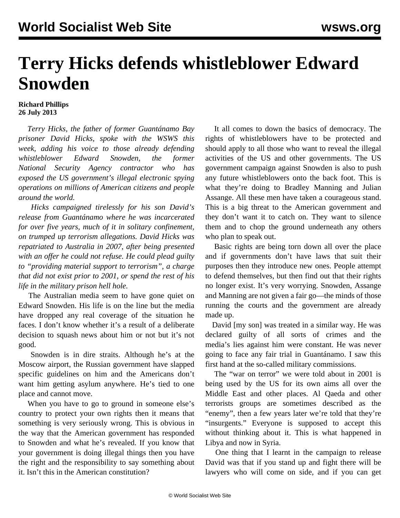## **Terry Hicks defends whistleblower Edward Snowden**

## **Richard Phillips 26 July 2013**

 *Terry Hicks, the father of former Guantánamo Bay prisoner David Hicks, spoke with the WSWS this week, adding his voice to those already defending whistleblower Edward Snowden, the former National Security Agency contractor who has exposed the US government's illegal electronic spying operations on millions of American citizens and people around the world.*

 *Hicks campaigned tirelessly for his son David's release from Guantánamo where he was incarcerated for over five years, much of it in solitary confinement, on trumped up terrorism allegations. David Hicks was repatriated to Australia in 2007*, *after being presented with an offer he could not refuse. He could plead guilty to "providing material support to terrorism", a charge that did not exist prior to 2001, or spend the rest of his life in the military prison hell hole.*

 The Australian media seem to have gone quiet on Edward Snowden. His life is on the line but the media have dropped any real coverage of the situation he faces. I don't know whether it's a result of a deliberate decision to squash news about him or not but it's not good.

 Snowden is in dire straits. Although he's at the Moscow airport, the Russian government have slapped specific guidelines on him and the Americans don't want him getting asylum anywhere. He's tied to one place and cannot move.

 When you have to go to ground in someone else's country to protect your own rights then it means that something is very seriously wrong. This is obvious in the way that the American government has responded to Snowden and what he's revealed. If you know that your government is doing illegal things then you have the right and the responsibility to say something about it. Isn't this in the American constitution?

 It all comes to down the basics of democracy. The rights of whistleblowers have to be protected and should apply to all those who want to reveal the illegal activities of the US and other governments. The US government campaign against Snowden is also to push any future whistleblowers onto the back foot. This is what they're doing to Bradley Manning and Julian Assange. All these men have taken a courageous stand. This is a big threat to the American government and they don't want it to catch on. They want to silence them and to chop the ground underneath any others who plan to speak out.

 Basic rights are being torn down all over the place and if governments don't have laws that suit their purposes then they introduce new ones. People attempt to defend themselves, but then find out that their rights no longer exist. It's very worrying. Snowden, Assange and Manning are not given a fair go—the minds of those running the courts and the government are already made up.

 David [my son] was treated in a similar way. He was declared guilty of all sorts of crimes and the media's lies against him were constant. He was never going to face any fair trial in Guantánamo. I saw this first hand at the so-called military commissions.

 The "war on terror" we were told about in 2001 is being used by the US for its own aims all over the Middle East and other places. Al Qaeda and other terrorists groups are sometimes described as the "enemy", then a few years later we're told that they're "insurgents." Everyone is supposed to accept this without thinking about it. This is what happened in Libya and now in Syria.

 One thing that I learnt in the campaign to release David was that if you stand up and fight there will be lawyers who will come on side, and if you can get